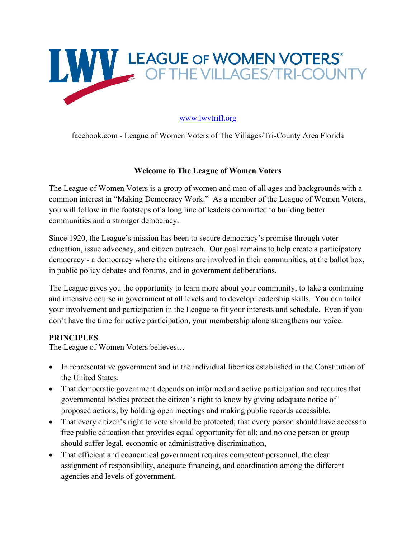

# www.lwvtrifl.org

facebook.com - League of Women Voters of The Villages/Tri-County Area Florida

### **Welcome to The League of Women Voters**

The League of Women Voters is a group of women and men of all ages and backgrounds with a common interest in "Making Democracy Work." As a member of the League of Women Voters, you will follow in the footsteps of a long line of leaders committed to building better communities and a stronger democracy.

Since 1920, the League's mission has been to secure democracy's promise through voter education, issue advocacy, and citizen outreach. Our goal remains to help create a participatory democracy - a democracy where the citizens are involved in their communities, at the ballot box, in public policy debates and forums, and in government deliberations.

The League gives you the opportunity to learn more about your community, to take a continuing and intensive course in government at all levels and to develop leadership skills. You can tailor your involvement and participation in the League to fit your interests and schedule. Even if you don't have the time for active participation, your membership alone strengthens our voice.

## **PRINCIPLES**

The League of Women Voters believes…

- In representative government and in the individual liberties established in the Constitution of the United States.
- That democratic government depends on informed and active participation and requires that governmental bodies protect the citizen's right to know by giving adequate notice of proposed actions, by holding open meetings and making public records accessible.
- That every citizen's right to vote should be protected; that every person should have access to free public education that provides equal opportunity for all; and no one person or group should suffer legal, economic or administrative discrimination,
- That efficient and economical government requires competent personnel, the clear assignment of responsibility, adequate financing, and coordination among the different agencies and levels of government.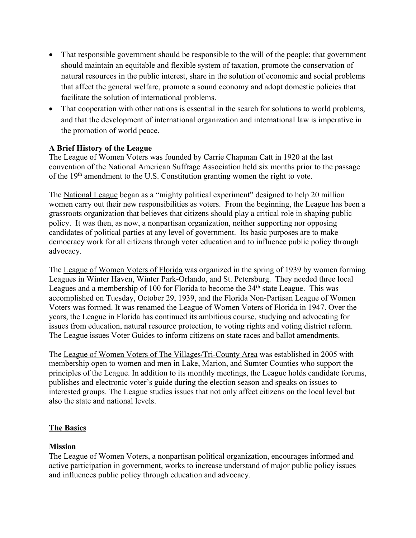- That responsible government should be responsible to the will of the people; that government should maintain an equitable and flexible system of taxation, promote the conservation of natural resources in the public interest, share in the solution of economic and social problems that affect the general welfare, promote a sound economy and adopt domestic policies that facilitate the solution of international problems.
- That cooperation with other nations is essential in the search for solutions to world problems, and that the development of international organization and international law is imperative in the promotion of world peace.

## **A Brief History of the League**

The League of Women Voters was founded by Carrie Chapman Catt in 1920 at the last convention of the National American Suffrage Association held six months prior to the passage of the 19<sup>th</sup> amendment to the U.S. Constitution granting women the right to vote.

The National League began as a "mighty political experiment" designed to help 20 million women carry out their new responsibilities as voters. From the beginning, the League has been a grassroots organization that believes that citizens should play a critical role in shaping public policy. It was then, as now, a nonpartisan organization, neither supporting nor opposing candidates of political parties at any level of government. Its basic purposes are to make democracy work for all citizens through voter education and to influence public policy through advocacy.

The League of Women Voters of Florida was organized in the spring of 1939 by women forming Leagues in Winter Haven, Winter Park-Orlando, and St. Petersburg. They needed three local Leagues and a membership of 100 for Florida to become the 34<sup>th</sup> state League. This was accomplished on Tuesday, October 29, 1939, and the Florida Non-Partisan League of Women Voters was formed. It was renamed the League of Women Voters of Florida in 1947. Over the years, the League in Florida has continued its ambitious course, studying and advocating for issues from education, natural resource protection, to voting rights and voting district reform. The League issues Voter Guides to inform citizens on state races and ballot amendments.

The League of Women Voters of The Villages/Tri-County Area was established in 2005 with membership open to women and men in Lake, Marion, and Sumter Counties who support the principles of the League. In addition to its monthly meetings, the League holds candidate forums, publishes and electronic voter's guide during the election season and speaks on issues to interested groups. The League studies issues that not only affect citizens on the local level but also the state and national levels.

## **The Basics**

## **Mission**

The League of Women Voters, a nonpartisan political organization, encourages informed and active participation in government, works to increase understand of major public policy issues and influences public policy through education and advocacy.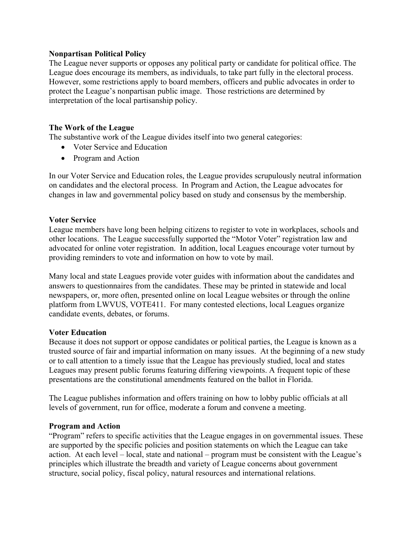### **Nonpartisan Political Policy**

The League never supports or opposes any political party or candidate for political office. The League does encourage its members, as individuals, to take part fully in the electoral process. However, some restrictions apply to board members, officers and public advocates in order to protect the League's nonpartisan public image. Those restrictions are determined by interpretation of the local partisanship policy.

### **The Work of the League**

The substantive work of the League divides itself into two general categories:

- Voter Service and Education
- Program and Action

In our Voter Service and Education roles, the League provides scrupulously neutral information on candidates and the electoral process. In Program and Action, the League advocates for changes in law and governmental policy based on study and consensus by the membership.

### **Voter Service**

League members have long been helping citizens to register to vote in workplaces, schools and other locations. The League successfully supported the "Motor Voter" registration law and advocated for online voter registration. In addition, local Leagues encourage voter turnout by providing reminders to vote and information on how to vote by mail.

Many local and state Leagues provide voter guides with information about the candidates and answers to questionnaires from the candidates. These may be printed in statewide and local newspapers, or, more often, presented online on local League websites or through the online platform from LWVUS, VOTE411. For many contested elections, local Leagues organize candidate events, debates, or forums.

### **Voter Education**

Because it does not support or oppose candidates or political parties, the League is known as a trusted source of fair and impartial information on many issues. At the beginning of a new study or to call attention to a timely issue that the League has previously studied, local and states Leagues may present public forums featuring differing viewpoints. A frequent topic of these presentations are the constitutional amendments featured on the ballot in Florida.

The League publishes information and offers training on how to lobby public officials at all levels of government, run for office, moderate a forum and convene a meeting.

### **Program and Action**

"Program" refers to specific activities that the League engages in on governmental issues. These are supported by the specific policies and position statements on which the League can take action. At each level – local, state and national – program must be consistent with the League's principles which illustrate the breadth and variety of League concerns about government structure, social policy, fiscal policy, natural resources and international relations.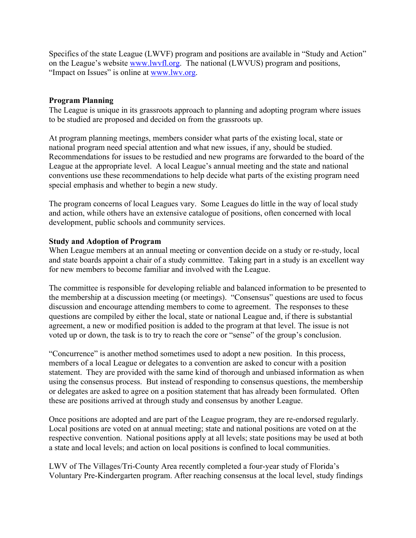Specifics of the state League (LWVF) program and positions are available in "Study and Action" on the League's website www.lwvfl.org. The national (LWVUS) program and positions, "Impact on Issues" is online at www.lwv.org.

### **Program Planning**

The League is unique in its grassroots approach to planning and adopting program where issues to be studied are proposed and decided on from the grassroots up.

At program planning meetings, members consider what parts of the existing local, state or national program need special attention and what new issues, if any, should be studied. Recommendations for issues to be restudied and new programs are forwarded to the board of the League at the appropriate level. A local League's annual meeting and the state and national conventions use these recommendations to help decide what parts of the existing program need special emphasis and whether to begin a new study.

The program concerns of local Leagues vary. Some Leagues do little in the way of local study and action, while others have an extensive catalogue of positions, often concerned with local development, public schools and community services.

### **Study and Adoption of Program**

When League members at an annual meeting or convention decide on a study or re-study, local and state boards appoint a chair of a study committee. Taking part in a study is an excellent way for new members to become familiar and involved with the League.

The committee is responsible for developing reliable and balanced information to be presented to the membership at a discussion meeting (or meetings). "Consensus" questions are used to focus discussion and encourage attending members to come to agreement. The responses to these questions are compiled by either the local, state or national League and, if there is substantial agreement, a new or modified position is added to the program at that level. The issue is not voted up or down, the task is to try to reach the core or "sense" of the group's conclusion.

"Concurrence" is another method sometimes used to adopt a new position. In this process, members of a local League or delegates to a convention are asked to concur with a position statement. They are provided with the same kind of thorough and unbiased information as when using the consensus process. But instead of responding to consensus questions, the membership or delegates are asked to agree on a position statement that has already been formulated. Often these are positions arrived at through study and consensus by another League.

Once positions are adopted and are part of the League program, they are re-endorsed regularly. Local positions are voted on at annual meeting; state and national positions are voted on at the respective convention. National positions apply at all levels; state positions may be used at both a state and local levels; and action on local positions is confined to local communities.

LWV of The Villages/Tri-County Area recently completed a four-year study of Florida's Voluntary Pre-Kindergarten program. After reaching consensus at the local level, study findings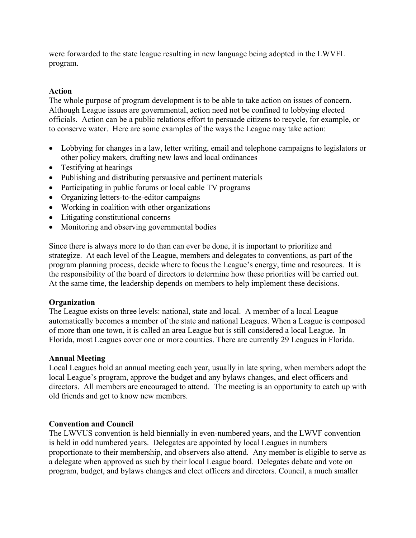were forwarded to the state league resulting in new language being adopted in the LWVFL program.

## **Action**

The whole purpose of program development is to be able to take action on issues of concern. Although League issues are governmental, action need not be confined to lobbying elected officials. Action can be a public relations effort to persuade citizens to recycle, for example, or to conserve water. Here are some examples of the ways the League may take action:

- Lobbying for changes in a law, letter writing, email and telephone campaigns to legislators or other policy makers, drafting new laws and local ordinances
- Testifying at hearings
- Publishing and distributing persuasive and pertinent materials
- Participating in public forums or local cable TV programs
- Organizing letters-to-the-editor campaigns
- Working in coalition with other organizations
- Litigating constitutional concerns
- Monitoring and observing governmental bodies

Since there is always more to do than can ever be done, it is important to prioritize and strategize. At each level of the League, members and delegates to conventions, as part of the program planning process, decide where to focus the League's energy, time and resources. It is the responsibility of the board of directors to determine how these priorities will be carried out. At the same time, the leadership depends on members to help implement these decisions.

### **Organization**

The League exists on three levels: national, state and local. A member of a local League automatically becomes a member of the state and national Leagues. When a League is composed of more than one town, it is called an area League but is still considered a local League. In Florida, most Leagues cover one or more counties. There are currently 29 Leagues in Florida.

### **Annual Meeting**

Local Leagues hold an annual meeting each year, usually in late spring, when members adopt the local League's program, approve the budget and any bylaws changes, and elect officers and directors. All members are encouraged to attend. The meeting is an opportunity to catch up with old friends and get to know new members.

### **Convention and Council**

The LWVUS convention is held biennially in even-numbered years, and the LWVF convention is held in odd numbered years. Delegates are appointed by local Leagues in numbers proportionate to their membership, and observers also attend. Any member is eligible to serve as a delegate when approved as such by their local League board. Delegates debate and vote on program, budget, and bylaws changes and elect officers and directors. Council, a much smaller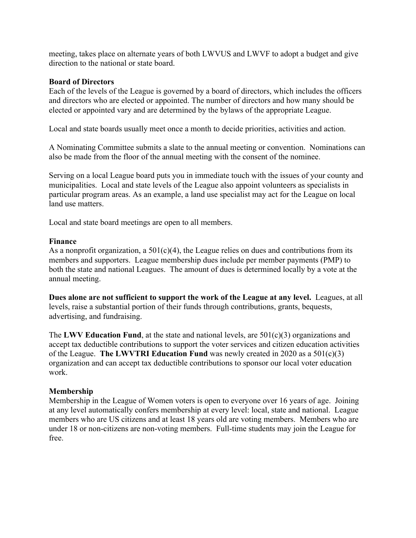meeting, takes place on alternate years of both LWVUS and LWVF to adopt a budget and give direction to the national or state board.

### **Board of Directors**

Each of the levels of the League is governed by a board of directors, which includes the officers and directors who are elected or appointed. The number of directors and how many should be elected or appointed vary and are determined by the bylaws of the appropriate League.

Local and state boards usually meet once a month to decide priorities, activities and action.

A Nominating Committee submits a slate to the annual meeting or convention. Nominations can also be made from the floor of the annual meeting with the consent of the nominee.

Serving on a local League board puts you in immediate touch with the issues of your county and municipalities. Local and state levels of the League also appoint volunteers as specialists in particular program areas. As an example, a land use specialist may act for the League on local land use matters.

Local and state board meetings are open to all members.

#### **Finance**

As a nonprofit organization, a  $501(c)(4)$ , the League relies on dues and contributions from its members and supporters. League membership dues include per member payments (PMP) to both the state and national Leagues. The amount of dues is determined locally by a vote at the annual meeting.

**Dues alone are not sufficient to support the work of the League at any level.** Leagues, at all levels, raise a substantial portion of their funds through contributions, grants, bequests, advertising, and fundraising.

The **LWV Education Fund**, at the state and national levels, are 501(c)(3) organizations and accept tax deductible contributions to support the voter services and citizen education activities of the League. **The LWVTRI Education Fund** was newly created in 2020 as a 501(c)(3) organization and can accept tax deductible contributions to sponsor our local voter education work.

### **Membership**

Membership in the League of Women voters is open to everyone over 16 years of age. Joining at any level automatically confers membership at every level: local, state and national. League members who are US citizens and at least 18 years old are voting members. Members who are under 18 or non-citizens are non-voting members. Full-time students may join the League for free.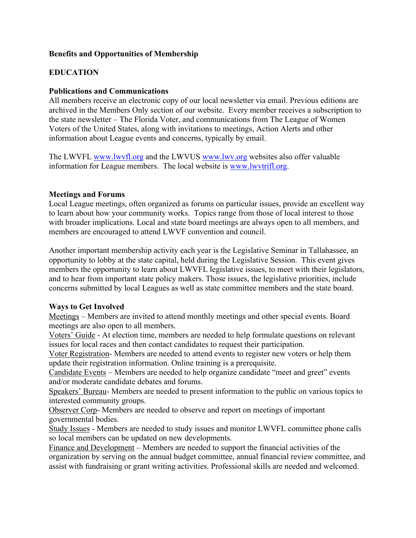## **Benefits and Opportunities of Membership**

# **EDUCATION**

### **Publications and Communications**

All members receive an electronic copy of our local newsletter via email. Previous editions are archived in the Members Only section of our website. Every member receives a subscription to the state newsletter – The Florida Voter, and communications from The League of Women Voters of the United States, along with invitations to meetings, Action Alerts and other information about League events and concerns, typically by email.

The LWVFL www.lwvfl.org and the LWVUS www.lwv.org websites also offer valuable information for League members. The local website is www.lwvtrifl.org.

### **Meetings and Forums**

Local League meetings, often organized as forums on particular issues, provide an excellent way to learn about how your community works. Topics range from those of local interest to those with broader implications. Local and state board meetings are always open to all members, and members are encouraged to attend LWVF convention and council.

Another important membership activity each year is the Legislative Seminar in Tallahassee, an opportunity to lobby at the state capital, held during the Legislative Session. This event gives members the opportunity to learn about LWVFL legislative issues, to meet with their legislators, and to hear from important state policy makers. Those issues, the legislative priorities, include concerns submitted by local Leagues as well as state committee members and the state board.

## **Ways to Get Involved**

Meetings – Members are invited to attend monthly meetings and other special events. Board meetings are also open to all members.

Voters' Guide - At election time, members are needed to help formulate questions on relevant issues for local races and then contact candidates to request their participation.

Voter Registration- Members are needed to attend events to register new voters or help them update their registration information. Online training is a prerequisite.

Candidate Events – Members are needed to help organize candidate "meet and greet" events and/or moderate candidate debates and forums.

Speakers' Bureau- Members are needed to present information to the public on various topics to interested community groups.

Observer Corp- Members are needed to observe and report on meetings of important governmental bodies.

Study Issues - Members are needed to study issues and monitor LWVFL committee phone calls so local members can be updated on new developments.

Finance and Development – Members are needed to support the financial activities of the organization by serving on the annual budget committee, annual financial review committee, and assist with fundraising or grant writing activities. Professional skills are needed and welcomed.